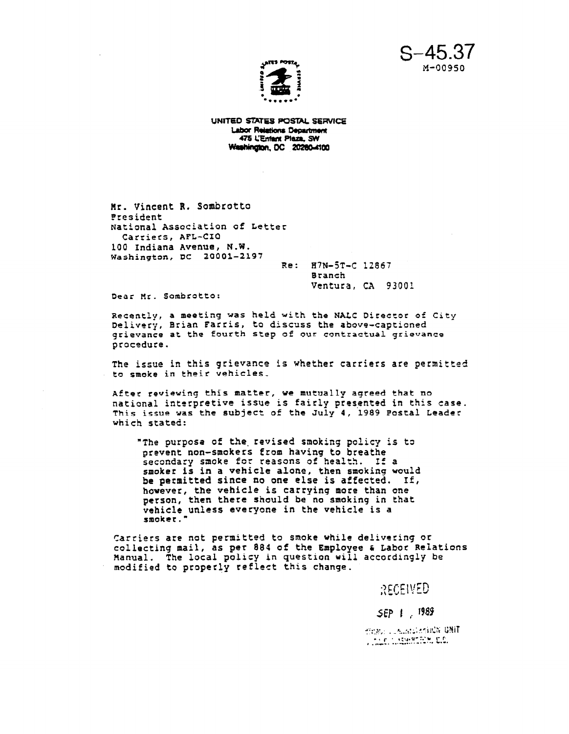s-45.37  $M - 00950$ 



UNITED STATES POSTAL SERVICE **Labor Relations Department** 475 L'Entant Plaza, SW Washington, DC 20280-4100

Hr. Vincent R. Sombrotto President National Association of Letter Carriers, AFL-CIO 100 Indiana Avenue, N.W. Washington, DC 20001-2197

Re: H?N-ST-C 12867 Branch Ventura, CA 93001

Dear Mr. Sombrotto:

Recently, a meeting was held with the NALC Director of City Delivery, Brian Farris, to discuss the above-captioned grievance at the fourth step of our contractual grievance procedure.

The issue in this grievance is whether carriers are permitted to smoke in their vehicles,

After reviewing this matter, we mutually agreed that no national interpretive issue is fairly presented in this case. This issue was the subject of the July 4, 1989 Postal Leadet which stated:

"The purposa of the. revised smoking policy is to prevent non-smokers from having to breathe secondary smoke for reasons of health. If a smoker is in a vehicle alone, then smoking would be petmitted since no one else is affected. If, however, the vehicle is carrying more than one person, then there should be no smoking in that vehicle unless everyone in the vehicle is a smoker. "

Carriers are not permitted to smoke vhile delivering or collecting mail, as per 884 of the Employee a Labor Relations Ranual. The local policy in question will accordingly be modified to properly reflect this change.

RECEIVED

SEP 1 1989

THE Electronic Company The Comment of